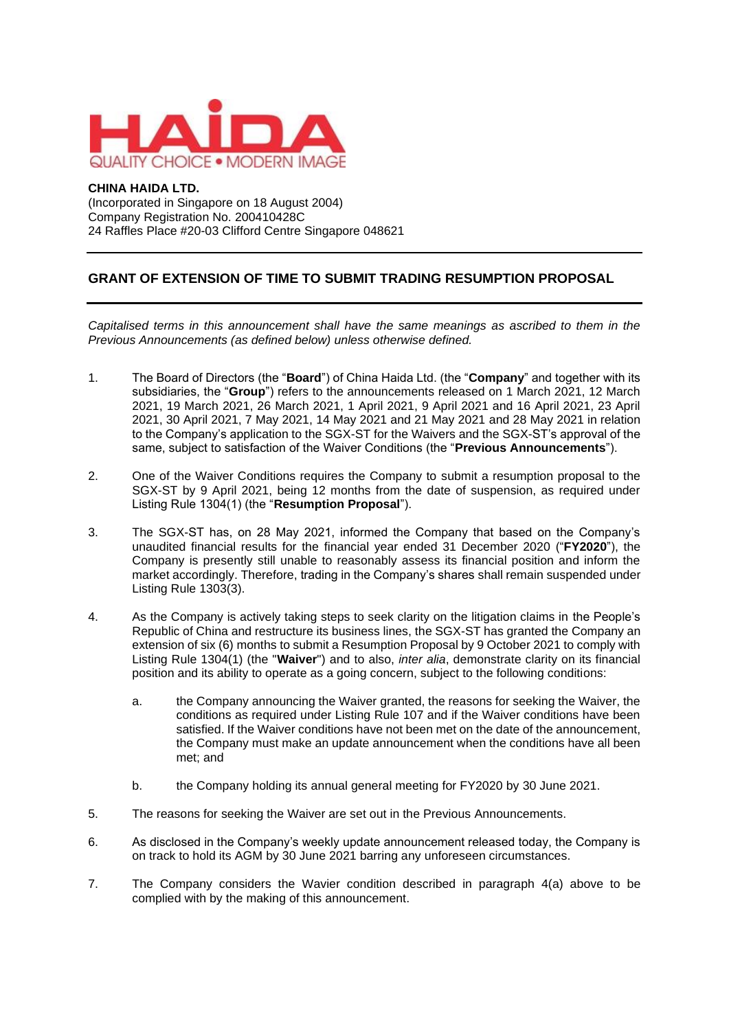

## **CHINA HAIDA LTD.**

(Incorporated in Singapore on 18 August 2004) Company Registration No. 200410428C 24 Raffles Place #20-03 Clifford Centre Singapore 048621

## **GRANT OF EXTENSION OF TIME TO SUBMIT TRADING RESUMPTION PROPOSAL**

*Capitalised terms in this announcement shall have the same meanings as ascribed to them in the Previous Announcements (as defined below) unless otherwise defined.*

- 1. The Board of Directors (the "**Board**") of China Haida Ltd. (the "**Company**" and together with its subsidiaries, the "**Group**") refers to the announcements released on 1 March 2021, 12 March 2021, 19 March 2021, 26 March 2021, 1 April 2021, 9 April 2021 and 16 April 2021, 23 April 2021, 30 April 2021, 7 May 2021, 14 May 2021 and 21 May 2021 and 28 May 2021 in relation to the Company's application to the SGX-ST for the Waivers and the SGX-ST's approval of the same, subject to satisfaction of the Waiver Conditions (the "**Previous Announcements**").
- 2. One of the Waiver Conditions requires the Company to submit a resumption proposal to the SGX-ST by 9 April 2021, being 12 months from the date of suspension, as required under Listing Rule 1304(1) (the "**Resumption Proposal**").
- 3. The SGX-ST has, on 28 May 2021, informed the Company that based on the Company's unaudited financial results for the financial year ended 31 December 2020 ("**FY2020**"), the Company is presently still unable to reasonably assess its financial position and inform the market accordingly. Therefore, trading in the Company's shares shall remain suspended under Listing Rule 1303(3).
- 4. As the Company is actively taking steps to seek clarity on the litigation claims in the People's Republic of China and restructure its business lines, the SGX-ST has granted the Company an extension of six (6) months to submit a Resumption Proposal by 9 October 2021 to comply with Listing Rule 1304(1) (the "**Waiver**") and to also, *inter alia*, demonstrate clarity on its financial position and its ability to operate as a going concern, subject to the following conditions:
	- a. the Company announcing the Waiver granted, the reasons for seeking the Waiver, the conditions as required under Listing Rule 107 and if the Waiver conditions have been satisfied. If the Waiver conditions have not been met on the date of the announcement, the Company must make an update announcement when the conditions have all been met; and
	- b. the Company holding its annual general meeting for FY2020 by 30 June 2021.
- 5. The reasons for seeking the Waiver are set out in the Previous Announcements.
- 6. As disclosed in the Company's weekly update announcement released today, the Company is on track to hold its AGM by 30 June 2021 barring any unforeseen circumstances.
- 7. The Company considers the Wavier condition described in paragraph 4(a) above to be complied with by the making of this announcement.